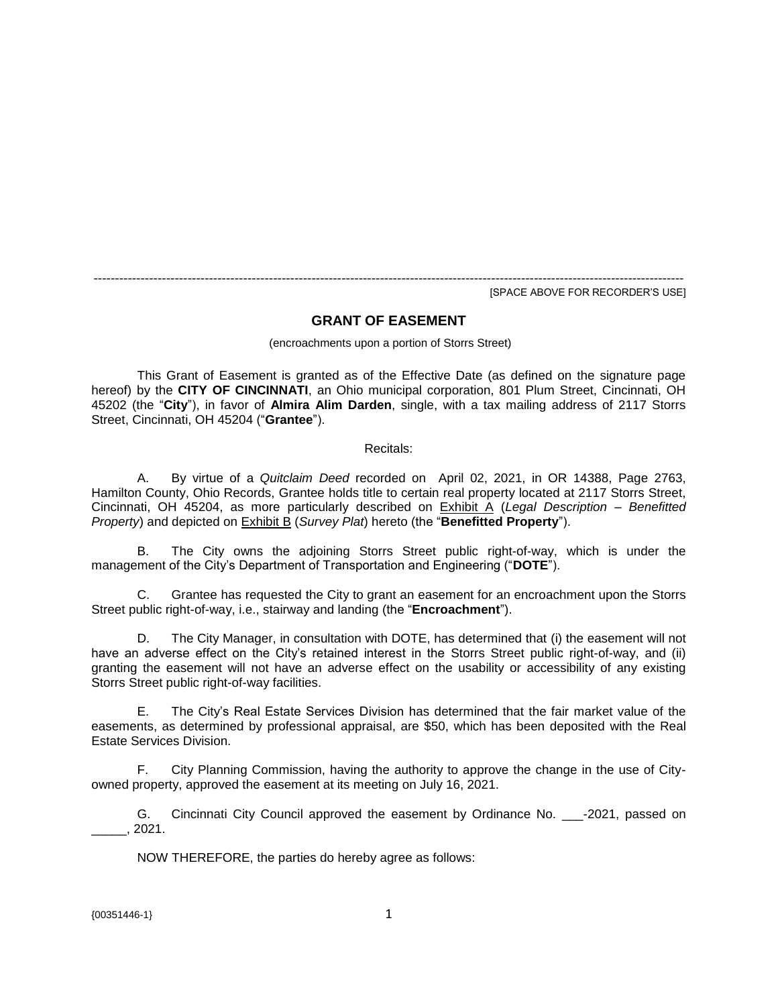------------------------------------------------------------------------------------------------------------------------------------------ [SPACE ABOVE FOR RECORDER'S USE]

# **GRANT OF EASEMENT**

(encroachments upon a portion of Storrs Street)

This Grant of Easement is granted as of the Effective Date (as defined on the signature page hereof) by the **CITY OF CINCINNATI**, an Ohio municipal corporation, 801 Plum Street, Cincinnati, OH 45202 (the "**City**"), in favor of **Almira Alim Darden**, single, with a tax mailing address of 2117 Storrs Street, Cincinnati, OH 45204 ("**Grantee**").

#### Recitals:

A. By virtue of a *Quitclaim Deed* recorded on April 02, 2021, in OR 14388, Page 2763, Hamilton County, Ohio Records, Grantee holds title to certain real property located at 2117 Storrs Street, Cincinnati, OH 45204, as more particularly described on Exhibit A (*Legal Description – Benefitted Property*) and depicted on **Exhibit B** (*Survey Plat*) hereto (the "**Benefitted Property**").

B. The City owns the adjoining Storrs Street public right-of-way, which is under the management of the City's Department of Transportation and Engineering ("**DOTE**").

C. Grantee has requested the City to grant an easement for an encroachment upon the Storrs Street public right-of-way, i.e., stairway and landing (the "**Encroachment**").

D. The City Manager, in consultation with DOTE, has determined that (i) the easement will not have an adverse effect on the City's retained interest in the Storrs Street public right-of-way, and (ii) granting the easement will not have an adverse effect on the usability or accessibility of any existing Storrs Street public right-of-way facilities.

E. The City's Real Estate Services Division has determined that the fair market value of the easements, as determined by professional appraisal, are \$50, which has been deposited with the Real Estate Services Division.

F. City Planning Commission, having the authority to approve the change in the use of Cityowned property, approved the easement at its meeting on July 16, 2021.

G. Cincinnati City Council approved the easement by Ordinance No. \_\_\_-2021, passed on  $\_$ , 2021.

NOW THEREFORE, the parties do hereby agree as follows: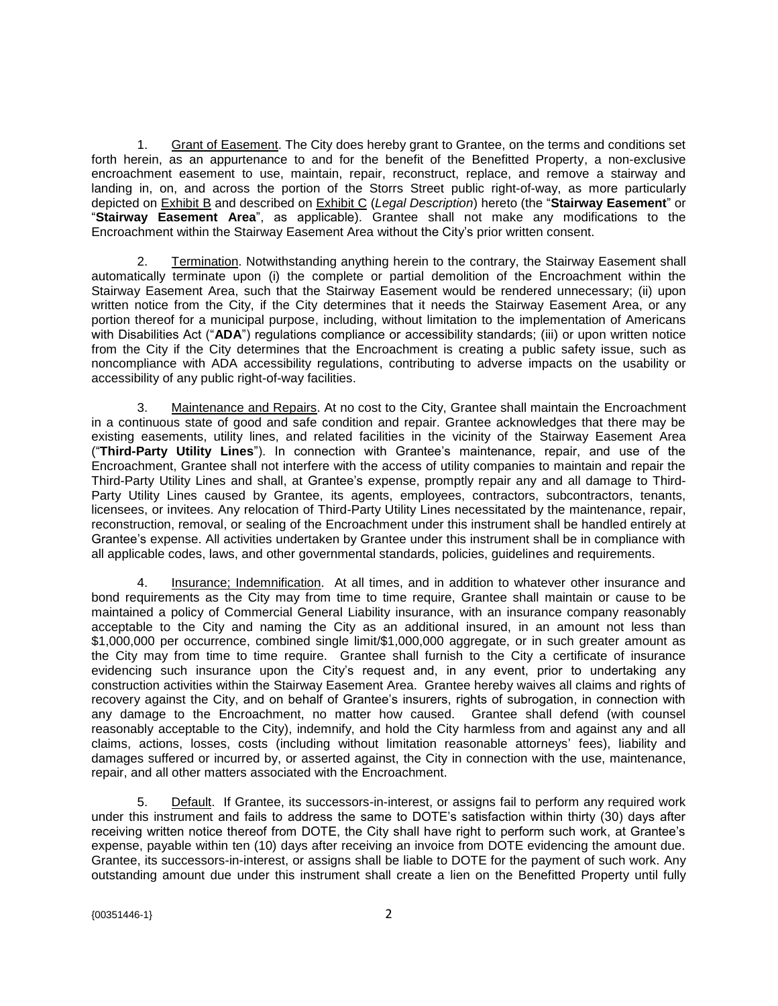1. Grant of Easement. The City does hereby grant to Grantee, on the terms and conditions set forth herein, as an appurtenance to and for the benefit of the Benefitted Property, a non-exclusive encroachment easement to use, maintain, repair, reconstruct, replace, and remove a stairway and landing in, on, and across the portion of the Storrs Street public right-of-way, as more particularly depicted on Exhibit B and described on Exhibit C (*Legal Description*) hereto (the "**Stairway Easement**" or "**Stairway Easement Area**", as applicable). Grantee shall not make any modifications to the Encroachment within the Stairway Easement Area without the City's prior written consent.

2. Termination. Notwithstanding anything herein to the contrary, the Stairway Easement shall automatically terminate upon (i) the complete or partial demolition of the Encroachment within the Stairway Easement Area, such that the Stairway Easement would be rendered unnecessary; (ii) upon written notice from the City, if the City determines that it needs the Stairway Easement Area, or any portion thereof for a municipal purpose, including, without limitation to the implementation of Americans with Disabilities Act ("ADA") regulations compliance or accessibility standards; (iii) or upon written notice from the City if the City determines that the Encroachment is creating a public safety issue, such as noncompliance with ADA accessibility regulations, contributing to adverse impacts on the usability or accessibility of any public right-of-way facilities.

3. Maintenance and Repairs. At no cost to the City, Grantee shall maintain the Encroachment in a continuous state of good and safe condition and repair. Grantee acknowledges that there may be existing easements, utility lines, and related facilities in the vicinity of the Stairway Easement Area ("**Third-Party Utility Lines**"). In connection with Grantee's maintenance, repair, and use of the Encroachment, Grantee shall not interfere with the access of utility companies to maintain and repair the Third-Party Utility Lines and shall, at Grantee's expense, promptly repair any and all damage to Third-Party Utility Lines caused by Grantee, its agents, employees, contractors, subcontractors, tenants, licensees, or invitees. Any relocation of Third-Party Utility Lines necessitated by the maintenance, repair, reconstruction, removal, or sealing of the Encroachment under this instrument shall be handled entirely at Grantee's expense. All activities undertaken by Grantee under this instrument shall be in compliance with all applicable codes, laws, and other governmental standards, policies, guidelines and requirements.

4. Insurance; Indemnification. At all times, and in addition to whatever other insurance and bond requirements as the City may from time to time require, Grantee shall maintain or cause to be maintained a policy of Commercial General Liability insurance, with an insurance company reasonably acceptable to the City and naming the City as an additional insured, in an amount not less than \$1,000,000 per occurrence, combined single limit/\$1,000,000 aggregate, or in such greater amount as the City may from time to time require. Grantee shall furnish to the City a certificate of insurance evidencing such insurance upon the City's request and, in any event, prior to undertaking any construction activities within the Stairway Easement Area. Grantee hereby waives all claims and rights of recovery against the City, and on behalf of Grantee's insurers, rights of subrogation, in connection with any damage to the Encroachment, no matter how caused. Grantee shall defend (with counsel reasonably acceptable to the City), indemnify, and hold the City harmless from and against any and all claims, actions, losses, costs (including without limitation reasonable attorneys' fees), liability and damages suffered or incurred by, or asserted against, the City in connection with the use, maintenance, repair, and all other matters associated with the Encroachment.

5. Default. If Grantee, its successors-in-interest, or assigns fail to perform any required work under this instrument and fails to address the same to DOTE's satisfaction within thirty (30) days after receiving written notice thereof from DOTE, the City shall have right to perform such work, at Grantee's expense, payable within ten (10) days after receiving an invoice from DOTE evidencing the amount due. Grantee, its successors-in-interest, or assigns shall be liable to DOTE for the payment of such work. Any outstanding amount due under this instrument shall create a lien on the Benefitted Property until fully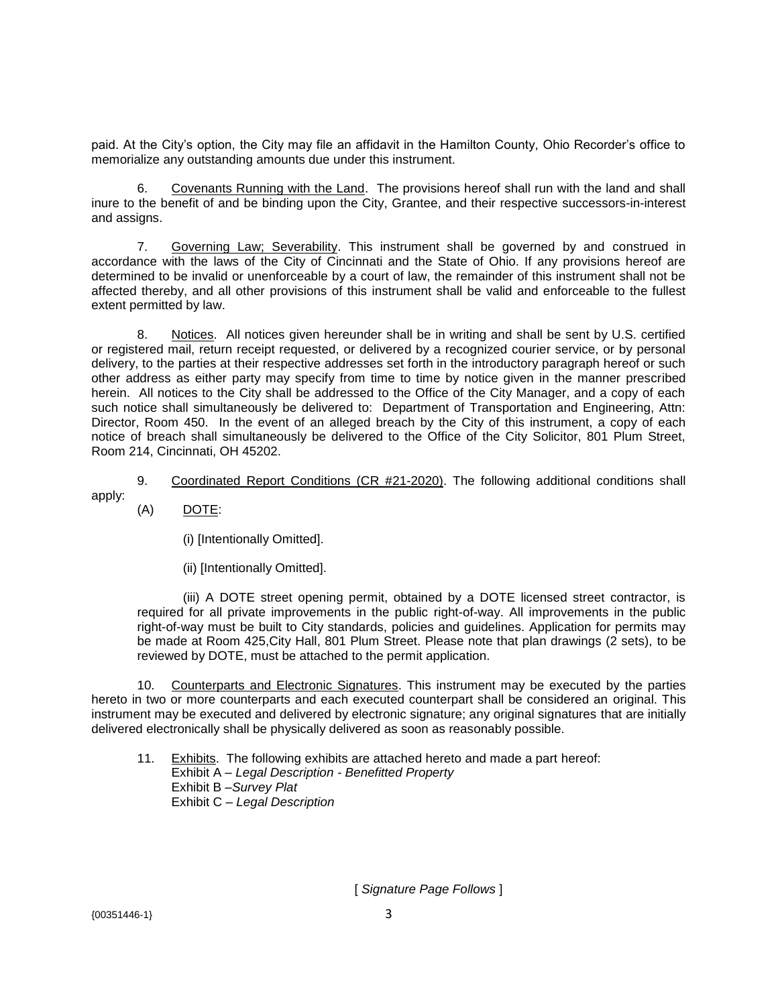paid. At the City's option, the City may file an affidavit in the Hamilton County, Ohio Recorder's office to memorialize any outstanding amounts due under this instrument.

6. Covenants Running with the Land. The provisions hereof shall run with the land and shall inure to the benefit of and be binding upon the City, Grantee, and their respective successors-in-interest and assigns.

7. Governing Law; Severability. This instrument shall be governed by and construed in accordance with the laws of the City of Cincinnati and the State of Ohio. If any provisions hereof are determined to be invalid or unenforceable by a court of law, the remainder of this instrument shall not be affected thereby, and all other provisions of this instrument shall be valid and enforceable to the fullest extent permitted by law.

8. Notices. All notices given hereunder shall be in writing and shall be sent by U.S. certified or registered mail, return receipt requested, or delivered by a recognized courier service, or by personal delivery, to the parties at their respective addresses set forth in the introductory paragraph hereof or such other address as either party may specify from time to time by notice given in the manner prescribed herein. All notices to the City shall be addressed to the Office of the City Manager, and a copy of each such notice shall simultaneously be delivered to: Department of Transportation and Engineering, Attn: Director, Room 450. In the event of an alleged breach by the City of this instrument, a copy of each notice of breach shall simultaneously be delivered to the Office of the City Solicitor, 801 Plum Street, Room 214, Cincinnati, OH 45202.

9. Coordinated Report Conditions (CR #21-2020). The following additional conditions shall apply:

(A) DOTE:

(i) [Intentionally Omitted].

(ii) [Intentionally Omitted].

(iii) A DOTE street opening permit, obtained by a DOTE licensed street contractor, is required for all private improvements in the public right-of-way. All improvements in the public right-of-way must be built to City standards, policies and guidelines. Application for permits may be made at Room 425,City Hall, 801 Plum Street. Please note that plan drawings (2 sets), to be reviewed by DOTE, must be attached to the permit application.

10. Counterparts and Electronic Signatures. This instrument may be executed by the parties hereto in two or more counterparts and each executed counterpart shall be considered an original. This instrument may be executed and delivered by electronic signature; any original signatures that are initially delivered electronically shall be physically delivered as soon as reasonably possible.

11. Exhibits. The following exhibits are attached hereto and made a part hereof: Exhibit A – *Legal Description - Benefitted Property* Exhibit B –*Survey Plat* Exhibit C – *Legal Description*

[ *Signature Page Follows* ]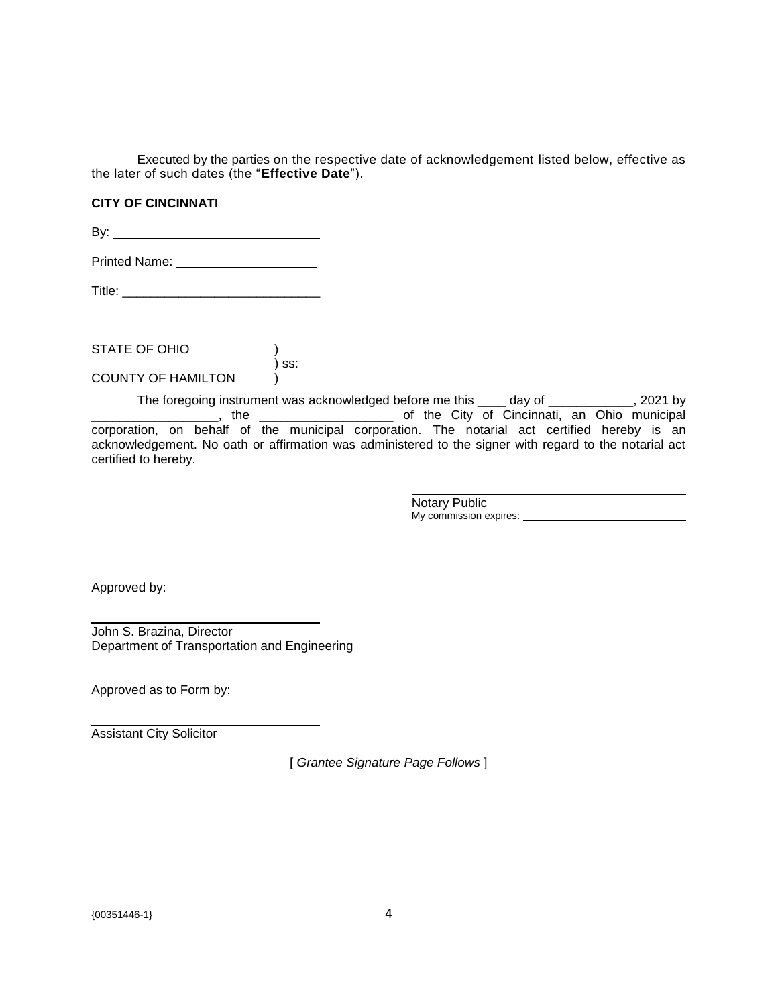Executed by the parties on the respective date of acknowledgement listed below, effective as the later of such dates (the "**Effective Date**").

## **CITY OF CINCINNATI**

By:

Printed Name: \_\_\_\_\_\_\_\_\_\_\_\_\_\_\_\_\_\_\_\_\_\_\_

Title: \_\_\_\_\_\_\_\_\_\_\_\_\_\_\_\_\_\_\_\_\_\_\_\_\_\_\_\_

STATE OF OHIO  $\overline{)}$  ss: COUNTY OF HAMILTON )

The foregoing instrument was acknowledged before me this \_\_\_\_ day of \_\_\_\_\_\_\_\_\_\_\_, 2021 by \_\_\_\_\_\_\_\_\_\_\_\_\_\_\_\_\_\_\_, the \_\_\_\_\_\_\_\_\_\_\_\_\_\_\_\_\_\_\_\_\_\_\_\_\_\_\_\_of the City of Cincinnati, an Ohio municipal corporation, on behalf of the municipal corporation. The notarial act certified hereby is an acknowledgement. No oath or affirmation was administered to the signer with regard to the notarial act certified to hereby.

> Notary Public My commission expires: **My commission expires:** We are a set of the set of the set of the set of the set of the set of the set of the set of the set of the set of the set of the set of the set of the set of the set of the

Approved by:

John S. Brazina, Director Department of Transportation and Engineering

Approved as to Form by:

Assistant City Solicitor

[ *Grantee Signature Page Follows* ]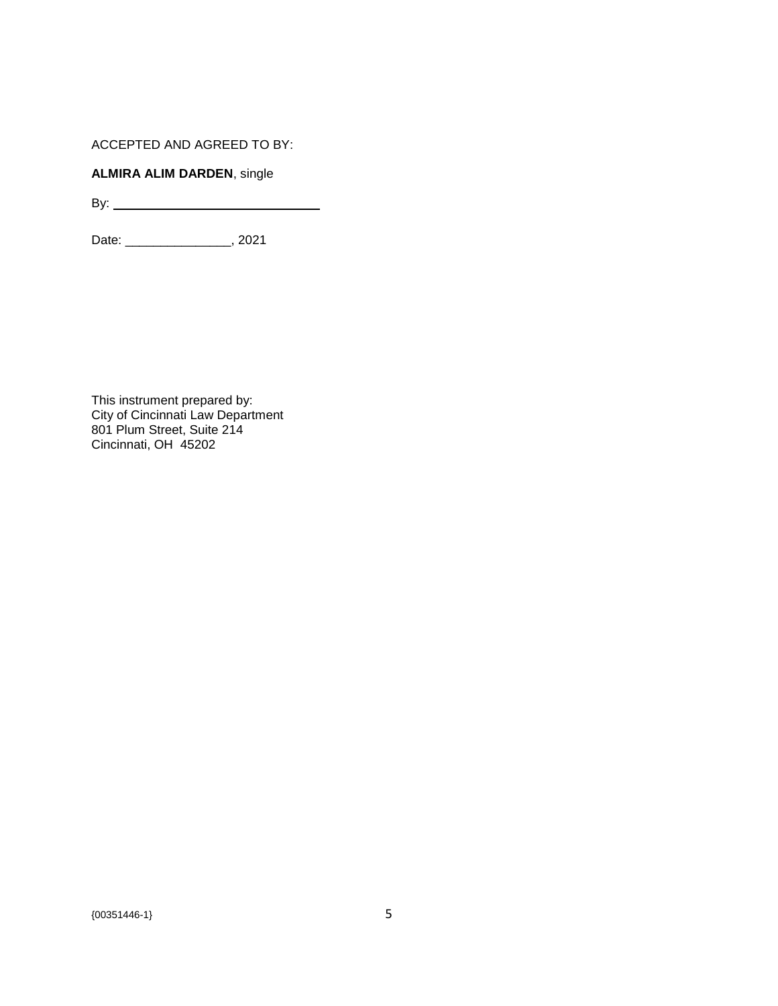ACCEPTED AND AGREED TO BY:

# **ALMIRA ALIM DARDEN**, single

By:

Date: \_\_\_\_\_\_\_\_\_\_\_\_\_\_\_, 2021

This instrument prepared by: City of Cincinnati Law Department 801 Plum Street, Suite 214 Cincinnati, OH 45202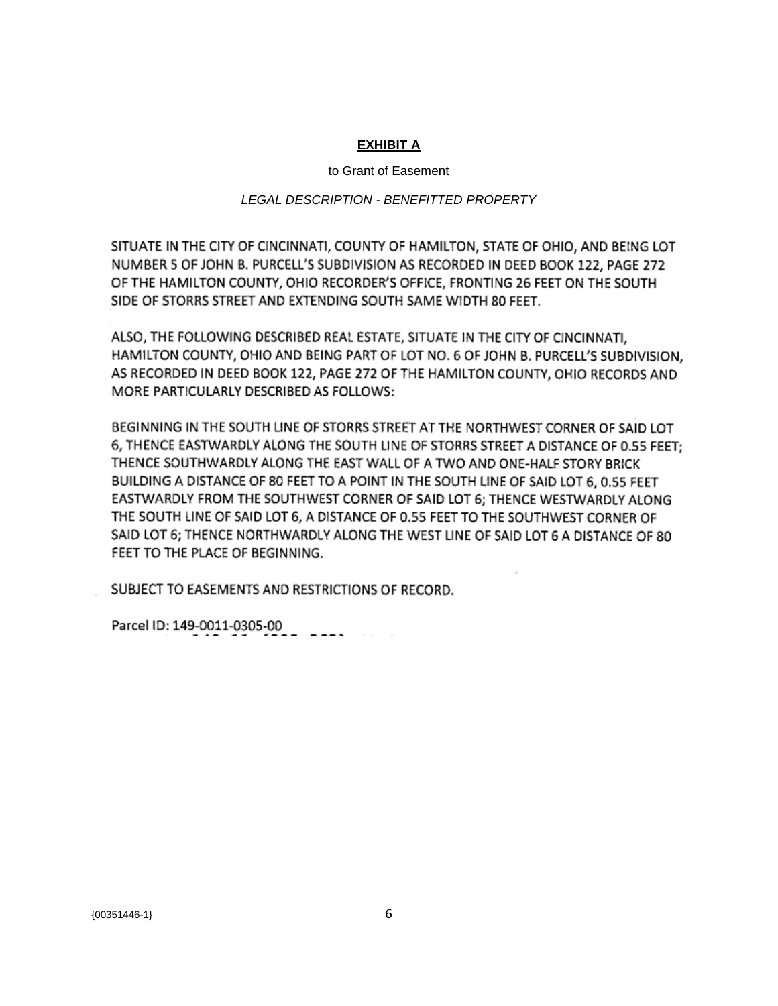## **EXHIBIT A**

#### to Grant of Easement

### *LEGAL DESCRIPTION - BENEFITTED PROPERTY*

SITUATE IN THE CITY OF CINCINNATI, COUNTY OF HAMILTON, STATE OF OHIO, AND BEING LOT NUMBER 5 OF JOHN B. PURCELL'S SUBDIVISION AS RECORDED IN DEED BOOK 122, PAGE 272 OF THE HAMILTON COUNTY, OHIO RECORDER'S OFFICE, FRONTING 26 FEET ON THE SOUTH SIDE OF STORRS STREET AND EXTENDING SOUTH SAME WIDTH 80 FEET.

ALSO, THE FOLLOWING DESCRIBED REAL ESTATE, SITUATE IN THE CITY OF CINCINNATI. HAMILTON COUNTY, OHIO AND BEING PART OF LOT NO. 6 OF JOHN B. PURCELL'S SUBDIVISION, AS RECORDED IN DEED BOOK 122, PAGE 272 OF THE HAMILTON COUNTY, OHIO RECORDS AND MORE PARTICULARLY DESCRIBED AS FOLLOWS:

BEGINNING IN THE SOUTH LINE OF STORRS STREET AT THE NORTHWEST CORNER OF SAID LOT 6, THENCE EASTWARDLY ALONG THE SOUTH LINE OF STORRS STREET A DISTANCE OF 0.55 FEET: THENCE SOUTHWARDLY ALONG THE EAST WALL OF A TWO AND ONE-HALF STORY BRICK BUILDING A DISTANCE OF 80 FEET TO A POINT IN THE SOUTH LINE OF SAID LOT 6, 0.55 FEET EASTWARDLY FROM THE SOUTHWEST CORNER OF SAID LOT 6; THENCE WESTWARDLY ALONG THE SOUTH LINE OF SAID LOT 6, A DISTANCE OF 0.55 FEET TO THE SOUTHWEST CORNER OF SAID LOT 6; THENCE NORTHWARDLY ALONG THE WEST LINE OF SAID LOT 6 A DISTANCE OF 80 FEET TO THE PLACE OF BEGINNING.

SUBJECT TO EASEMENTS AND RESTRICTIONS OF RECORD.

Parcel ID: 149-0011-0305-00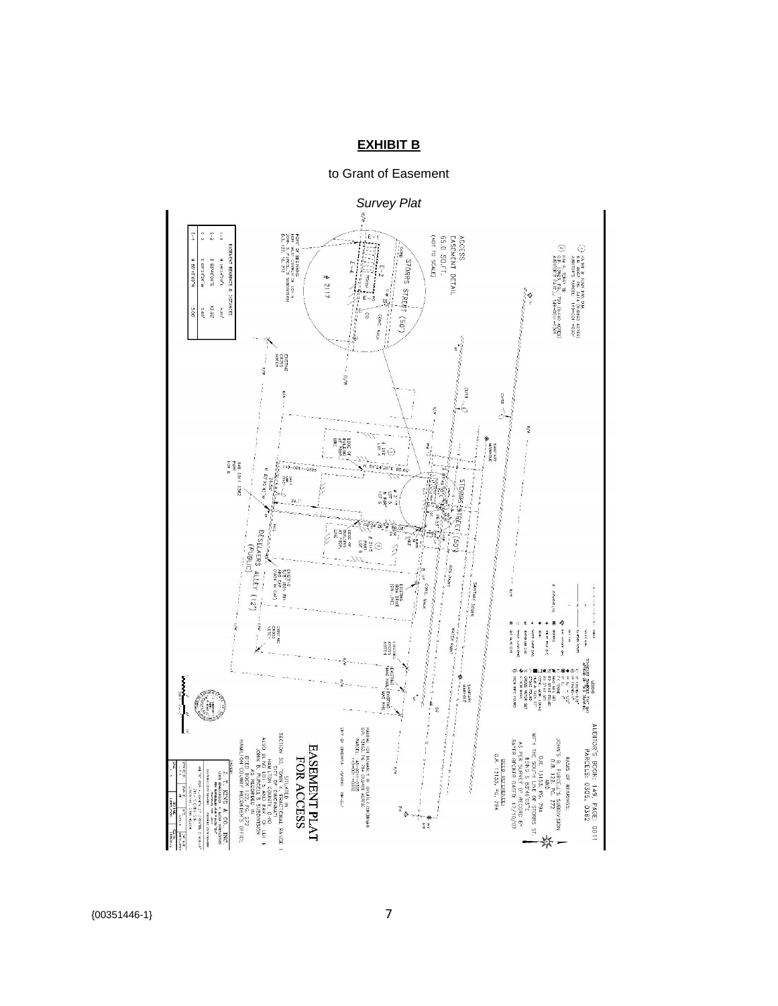## **EXHIBIT B**

to Grant of Easement



{00351446-1} 7